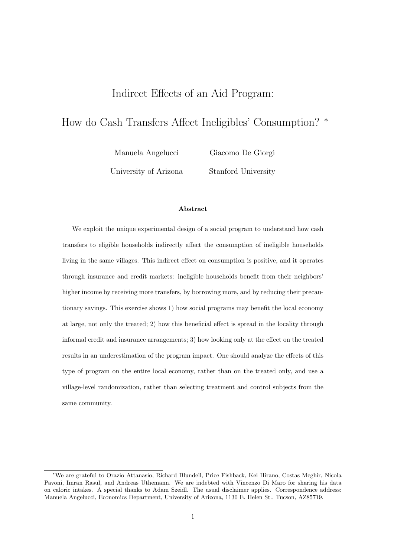## Indirect Effects of an Aid Program:

# How do Cash Transfers Affect Ineligibles' Consumption? <sup>∗</sup>

Manuela Angelucci University of Arizona Giacomo De Giorgi Stanford University

#### Abstract

We exploit the unique experimental design of a social program to understand how cash transfers to eligible households indirectly affect the consumption of ineligible households living in the same villages. This indirect effect on consumption is positive, and it operates through insurance and credit markets: ineligible households benefit from their neighbors' higher income by receiving more transfers, by borrowing more, and by reducing their precautionary savings. This exercise shows 1) how social programs may benefit the local economy at large, not only the treated; 2) how this beneficial effect is spread in the locality through informal credit and insurance arrangements; 3) how looking only at the effect on the treated results in an underestimation of the program impact. One should analyze the effects of this type of program on the entire local economy, rather than on the treated only, and use a village-level randomization, rather than selecting treatment and control subjects from the same community.

<sup>∗</sup>We are grateful to Orazio Attanasio, Richard Blundell, Price Fishback, Kei Hirano, Costas Meghir, Nicola Pavoni, Imran Rasul, and Andreas Uthemann. We are indebted with Vincenzo Di Maro for sharing his data on caloric intakes. A special thanks to Adam Szeidl. The usual disclaimer applies. Correspondence address: Manuela Angelucci, Economics Department, University of Arizona, 1130 E. Helen St., Tucson, AZ85719.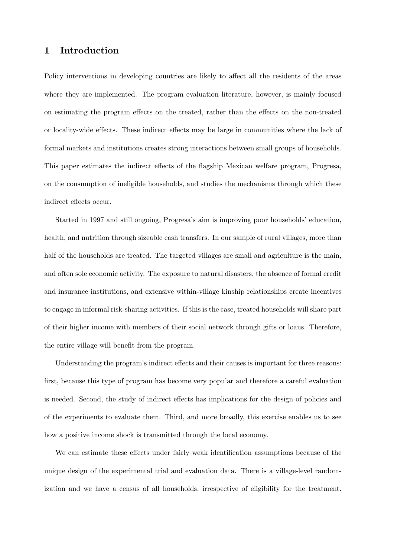## 1 Introduction

Policy interventions in developing countries are likely to affect all the residents of the areas where they are implemented. The program evaluation literature, however, is mainly focused on estimating the program effects on the treated, rather than the effects on the non-treated or locality-wide effects. These indirect effects may be large in communities where the lack of formal markets and institutions creates strong interactions between small groups of households. This paper estimates the indirect effects of the flagship Mexican welfare program, Progresa, on the consumption of ineligible households, and studies the mechanisms through which these indirect effects occur.

Started in 1997 and still ongoing, Progresa's aim is improving poor households' education, health, and nutrition through sizeable cash transfers. In our sample of rural villages, more than half of the households are treated. The targeted villages are small and agriculture is the main, and often sole economic activity. The exposure to natural disasters, the absence of formal credit and insurance institutions, and extensive within-village kinship relationships create incentives to engage in informal risk-sharing activities. If this is the case, treated households will share part of their higher income with members of their social network through gifts or loans. Therefore, the entire village will benefit from the program.

Understanding the program's indirect effects and their causes is important for three reasons: first, because this type of program has become very popular and therefore a careful evaluation is needed. Second, the study of indirect effects has implications for the design of policies and of the experiments to evaluate them. Third, and more broadly, this exercise enables us to see how a positive income shock is transmitted through the local economy.

We can estimate these effects under fairly weak identification assumptions because of the unique design of the experimental trial and evaluation data. There is a village-level randomization and we have a census of all households, irrespective of eligibility for the treatment.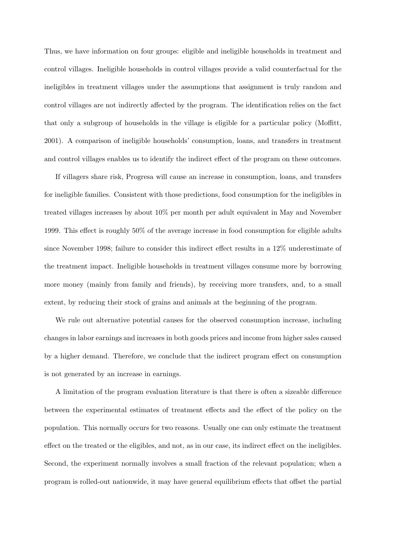Thus, we have information on four groups: eligible and ineligible households in treatment and control villages. Ineligible households in control villages provide a valid counterfactual for the ineligibles in treatment villages under the assumptions that assignment is truly random and control villages are not indirectly affected by the program. The identification relies on the fact that only a subgroup of households in the village is eligible for a particular policy (Moffitt, 2001). A comparison of ineligible households' consumption, loans, and transfers in treatment and control villages enables us to identify the indirect effect of the program on these outcomes.

If villagers share risk, Progresa will cause an increase in consumption, loans, and transfers for ineligible families. Consistent with those predictions, food consumption for the ineligibles in treated villages increases by about 10% per month per adult equivalent in May and November 1999. This effect is roughly 50% of the average increase in food consumption for eligible adults since November 1998; failure to consider this indirect effect results in a 12% underestimate of the treatment impact. Ineligible households in treatment villages consume more by borrowing more money (mainly from family and friends), by receiving more transfers, and, to a small extent, by reducing their stock of grains and animals at the beginning of the program.

We rule out alternative potential causes for the observed consumption increase, including changes in labor earnings and increases in both goods prices and income from higher sales caused by a higher demand. Therefore, we conclude that the indirect program effect on consumption is not generated by an increase in earnings.

A limitation of the program evaluation literature is that there is often a sizeable difference between the experimental estimates of treatment effects and the effect of the policy on the population. This normally occurs for two reasons. Usually one can only estimate the treatment effect on the treated or the eligibles, and not, as in our case, its indirect effect on the ineligibles. Second, the experiment normally involves a small fraction of the relevant population; when a program is rolled-out nationwide, it may have general equilibrium effects that offset the partial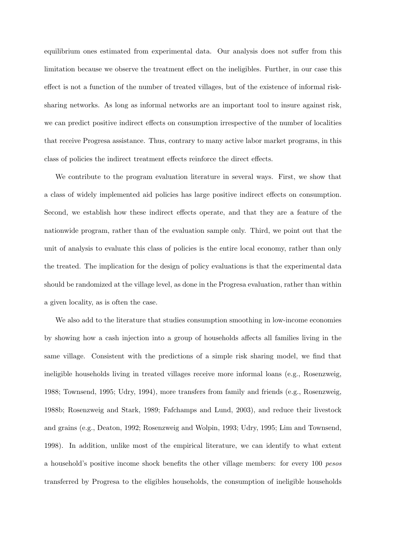equilibrium ones estimated from experimental data. Our analysis does not suffer from this limitation because we observe the treatment effect on the ineligibles. Further, in our case this effect is not a function of the number of treated villages, but of the existence of informal risksharing networks. As long as informal networks are an important tool to insure against risk, we can predict positive indirect effects on consumption irrespective of the number of localities that receive Progresa assistance. Thus, contrary to many active labor market programs, in this class of policies the indirect treatment effects reinforce the direct effects.

We contribute to the program evaluation literature in several ways. First, we show that a class of widely implemented aid policies has large positive indirect effects on consumption. Second, we establish how these indirect effects operate, and that they are a feature of the nationwide program, rather than of the evaluation sample only. Third, we point out that the unit of analysis to evaluate this class of policies is the entire local economy, rather than only the treated. The implication for the design of policy evaluations is that the experimental data should be randomized at the village level, as done in the Progresa evaluation, rather than within a given locality, as is often the case.

We also add to the literature that studies consumption smoothing in low-income economies by showing how a cash injection into a group of households affects all families living in the same village. Consistent with the predictions of a simple risk sharing model, we find that ineligible households living in treated villages receive more informal loans (e.g., Rosenzweig, 1988; Townsend, 1995; Udry, 1994), more transfers from family and friends (e.g., Rosenzweig, 1988b; Rosenzweig and Stark, 1989; Fafchamps and Lund, 2003), and reduce their livestock and grains (e.g., Deaton, 1992; Rosenzweig and Wolpin, 1993; Udry, 1995; Lim and Townsend, 1998). In addition, unlike most of the empirical literature, we can identify to what extent a household's positive income shock benefits the other village members: for every 100 pesos transferred by Progresa to the eligibles households, the consumption of ineligible households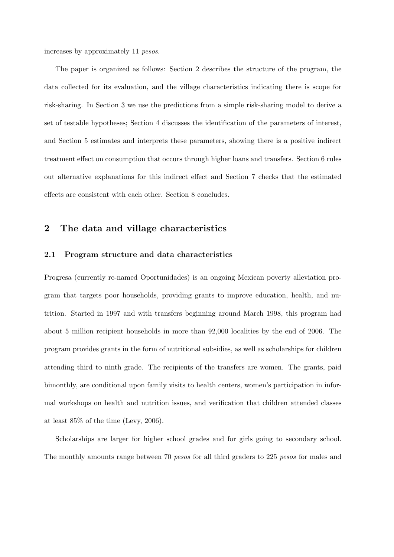increases by approximately 11 pesos.

The paper is organized as follows: Section 2 describes the structure of the program, the data collected for its evaluation, and the village characteristics indicating there is scope for risk-sharing. In Section 3 we use the predictions from a simple risk-sharing model to derive a set of testable hypotheses; Section 4 discusses the identification of the parameters of interest, and Section 5 estimates and interprets these parameters, showing there is a positive indirect treatment effect on consumption that occurs through higher loans and transfers. Section 6 rules out alternative explanations for this indirect effect and Section 7 checks that the estimated effects are consistent with each other. Section 8 concludes.

## 2 The data and village characteristics

#### 2.1 Program structure and data characteristics

Progresa (currently re-named Oportunidades) is an ongoing Mexican poverty alleviation program that targets poor households, providing grants to improve education, health, and nutrition. Started in 1997 and with transfers beginning around March 1998, this program had about 5 million recipient households in more than 92,000 localities by the end of 2006. The program provides grants in the form of nutritional subsidies, as well as scholarships for children attending third to ninth grade. The recipients of the transfers are women. The grants, paid bimonthly, are conditional upon family visits to health centers, women's participation in informal workshops on health and nutrition issues, and verification that children attended classes at least 85% of the time (Levy, 2006).

Scholarships are larger for higher school grades and for girls going to secondary school. The monthly amounts range between 70 *pesos* for all third graders to 225 *pesos* for males and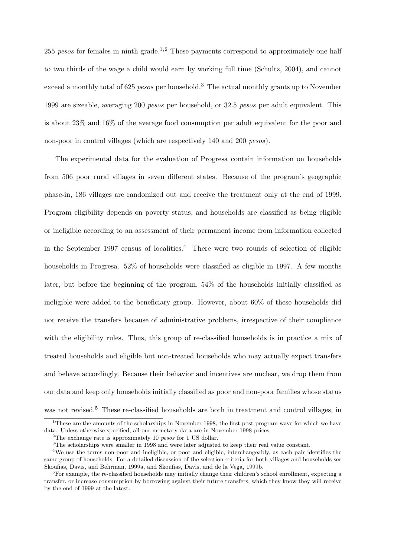255 pesos for females in ninth grade.<sup>1,2</sup> These payments correspond to approximately one half to two thirds of the wage a child would earn by working full time (Schultz, 2004), and cannot exceed a monthly total of 625 *pesos* per household.<sup>3</sup> The actual monthly grants up to November 1999 are sizeable, averaging 200 pesos per household, or 32.5 pesos per adult equivalent. This is about 23% and 16% of the average food consumption per adult equivalent for the poor and non-poor in control villages (which are respectively 140 and 200 pesos).

The experimental data for the evaluation of Progresa contain information on households from 506 poor rural villages in seven different states. Because of the program's geographic phase-in, 186 villages are randomized out and receive the treatment only at the end of 1999. Program eligibility depends on poverty status, and households are classified as being eligible or ineligible according to an assessment of their permanent income from information collected in the September 1997 census of localities.<sup>4</sup> There were two rounds of selection of eligible households in Progresa. 52% of households were classified as eligible in 1997. A few months later, but before the beginning of the program, 54% of the households initially classified as ineligible were added to the beneficiary group. However, about 60% of these households did not receive the transfers because of administrative problems, irrespective of their compliance with the eligibility rules. Thus, this group of re-classified households is in practice a mix of treated households and eligible but non-treated households who may actually expect transfers and behave accordingly. Because their behavior and incentives are unclear, we drop them from our data and keep only households initially classified as poor and non-poor families whose status was not revised.<sup>5</sup> These re-classified households are both in treatment and control villages, in

<sup>&</sup>lt;sup>1</sup>These are the amounts of the scholarships in November 1998, the first post-program wave for which we have data. Unless otherwise specified, all our monetary data are in November 1998 prices.

<sup>&</sup>lt;sup>2</sup>The exchange rate is approximately 10 *pesos* for 1 US dollar.

<sup>&</sup>lt;sup>3</sup>The scholarships were smaller in 1998 and were later adjusted to keep their real value constant.

<sup>&</sup>lt;sup>4</sup>We use the terms non-poor and ineligible, or poor and eligible, interchangeably, as each pair identifies the same group of households. For a detailed discussion of the selection criteria for both villages and households see Skoufias, Davis, and Behrman, 1999a, and Skoufias, Davis, and de la Vega, 1999b.

 ${}^{5}$ For example, the re-classified households may initially change their children's school enrollment, expecting a transfer, or increase consumption by borrowing against their future transfers, which they know they will receive by the end of 1999 at the latest.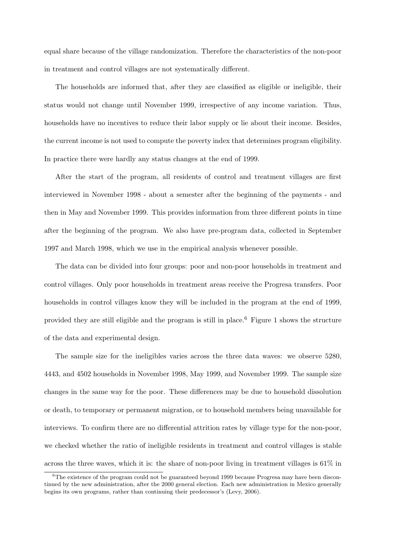equal share because of the village randomization. Therefore the characteristics of the non-poor in treatment and control villages are not systematically different.

The households are informed that, after they are classified as eligible or ineligible, their status would not change until November 1999, irrespective of any income variation. Thus, households have no incentives to reduce their labor supply or lie about their income. Besides, the current income is not used to compute the poverty index that determines program eligibility. In practice there were hardly any status changes at the end of 1999.

After the start of the program, all residents of control and treatment villages are first interviewed in November 1998 - about a semester after the beginning of the payments - and then in May and November 1999. This provides information from three different points in time after the beginning of the program. We also have pre-program data, collected in September 1997 and March 1998, which we use in the empirical analysis whenever possible.

The data can be divided into four groups: poor and non-poor households in treatment and control villages. Only poor households in treatment areas receive the Progresa transfers. Poor households in control villages know they will be included in the program at the end of 1999, provided they are still eligible and the program is still in place.<sup>6</sup> Figure 1 shows the structure of the data and experimental design.

The sample size for the ineligibles varies across the three data waves: we observe 5280, 4443, and 4502 households in November 1998, May 1999, and November 1999. The sample size changes in the same way for the poor. These differences may be due to household dissolution or death, to temporary or permanent migration, or to household members being unavailable for interviews. To confirm there are no differential attrition rates by village type for the non-poor, we checked whether the ratio of ineligible residents in treatment and control villages is stable across the three waves, which it is: the share of non-poor living in treatment villages is  $61\%$  in

<sup>6</sup>The existence of the program could not be guaranteed beyond 1999 because Progresa may have been discontinued by the new administration, after the 2000 general election. Each new administration in Mexico generally begins its own programs, rather than continuing their predecessor's (Levy, 2006).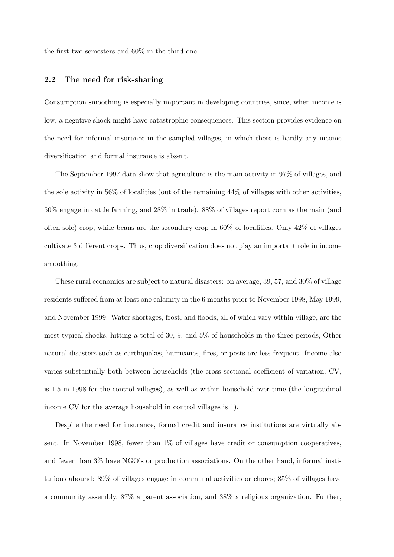the first two semesters and 60% in the third one.

#### 2.2 The need for risk-sharing

Consumption smoothing is especially important in developing countries, since, when income is low, a negative shock might have catastrophic consequences. This section provides evidence on the need for informal insurance in the sampled villages, in which there is hardly any income diversification and formal insurance is absent.

The September 1997 data show that agriculture is the main activity in 97% of villages, and the sole activity in  $56\%$  of localities (out of the remaining  $44\%$  of villages with other activities, 50% engage in cattle farming, and 28% in trade). 88% of villages report corn as the main (and often sole) crop, while beans are the secondary crop in  $60\%$  of localities. Only  $42\%$  of villages cultivate 3 different crops. Thus, crop diversification does not play an important role in income smoothing.

These rural economies are subject to natural disasters: on average, 39, 57, and 30% of village residents suffered from at least one calamity in the 6 months prior to November 1998, May 1999, and November 1999. Water shortages, frost, and floods, all of which vary within village, are the most typical shocks, hitting a total of 30, 9, and 5% of households in the three periods, Other natural disasters such as earthquakes, hurricanes, fires, or pests are less frequent. Income also varies substantially both between households (the cross sectional coefficient of variation, CV, is 1.5 in 1998 for the control villages), as well as within household over time (the longitudinal income CV for the average household in control villages is 1).

Despite the need for insurance, formal credit and insurance institutions are virtually absent. In November 1998, fewer than  $1\%$  of villages have credit or consumption cooperatives, and fewer than 3% have NGO's or production associations. On the other hand, informal institutions abound: 89% of villages engage in communal activities or chores; 85% of villages have a community assembly, 87% a parent association, and 38% a religious organization. Further,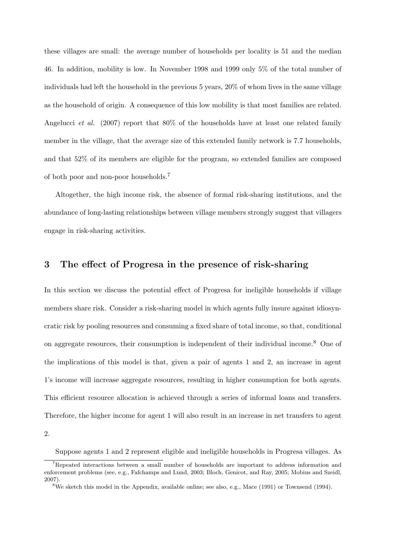these villages are small: the average number of households per locality is 51 and the median 46. In addition, mobility is low. In November 1998 and 1999 only 5% of the total number of individuals had left the household in the previous 5 years, 20% of whom lives in the same village as the household of origin. A consequence of this low mobility is that most families are related. Angelucci et al. (2007) report that 80% of the households have at least one related family member in the village, that the average size of this extended family network is 7.7 households, and that 52% of its members are eligible for the program, so extended families are composed of both poor and non-poor households.<sup>7</sup>

Altogether, the high income risk, the absence of formal risk-sharing institutions, and the abundance of long-lasting relationships between village members strongly suggest that villagers engage in risk-sharing activities.

## 3 The effect of Progresa in the presence of risk-sharing

In this section we discuss the potential effect of Progresa for ineligible households if village members share risk. Consider a risk-sharing model in which agents fully insure against idiosyncratic risk by pooling resources and consuming a fixed share of total income, so that, conditional on aggregate resources, their consumption is independent of their individual income.<sup>8</sup> One of the implications of this model is that, given a pair of agents 1 and 2, an increase in agent 1's income will increase aggregate resources, resulting in higher consumption for both agents. This efficient resource allocation is achieved through a series of informal loans and transfers. Therefore, the higher income for agent 1 will also result in an increase in net transfers to agent

<sup>2.</sup>

Suppose agents 1 and 2 represent eligible and ineligible households in Progresa villages. As

<sup>7</sup>Repeated interactions between a small number of households are important to address information and enforcement problems (see, e.g., Fafchamps and Lund, 2003; Bloch, Genicot, and Ray, 2005; Mobius and Szeidl, 2007).

<sup>8</sup>We sketch this model in the Appendix, available online; see also, e.g., Mace (1991) or Townsend (1994).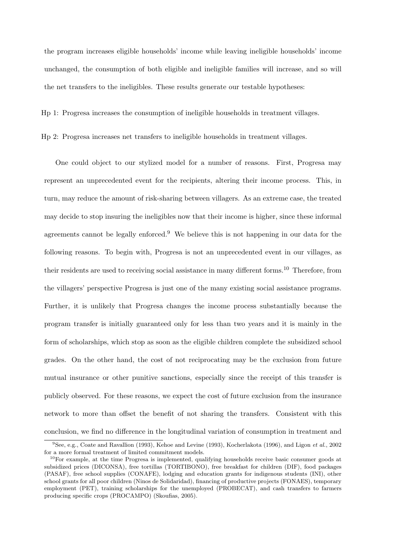the program increases eligible households' income while leaving ineligible households' income unchanged, the consumption of both eligible and ineligible families will increase, and so will the net transfers to the ineligibles. These results generate our testable hypotheses:

Hp 1: Progresa increases the consumption of ineligible households in treatment villages.

Hp 2: Progresa increases net transfers to ineligible households in treatment villages.

One could object to our stylized model for a number of reasons. First, Progresa may represent an unprecedented event for the recipients, altering their income process. This, in turn, may reduce the amount of risk-sharing between villagers. As an extreme case, the treated may decide to stop insuring the ineligibles now that their income is higher, since these informal agreements cannot be legally enforced.<sup>9</sup> We believe this is not happening in our data for the following reasons. To begin with, Progresa is not an unprecedented event in our villages, as their residents are used to receiving social assistance in many different forms.<sup>10</sup> Therefore, from the villagers' perspective Progresa is just one of the many existing social assistance programs. Further, it is unlikely that Progresa changes the income process substantially because the program transfer is initially guaranteed only for less than two years and it is mainly in the form of scholarships, which stop as soon as the eligible children complete the subsidized school grades. On the other hand, the cost of not reciprocating may be the exclusion from future mutual insurance or other punitive sanctions, especially since the receipt of this transfer is publicly observed. For these reasons, we expect the cost of future exclusion from the insurance network to more than offset the benefit of not sharing the transfers. Consistent with this conclusion, we find no difference in the longitudinal variation of consumption in treatment and

 ${}^{9}$ See, e.g., Coate and Ravallion (1993), Kehoe and Levine (1993), Kocherlakota (1996), and Ligon et al., 2002 for a more formal treatment of limited commitment models.

<sup>&</sup>lt;sup>10</sup>For example, at the time Progresa is implemented, qualifying households receive basic consumer goods at subsidized prices (DICONSA), free tortillas (TORTIBONO), free breakfast for children (DIF), food packages (PASAF), free school supplies (CONAFE), lodging and education grants for indigenous students (INI), other school grants for all poor children (Ninos de Solidaridad), financing of productive projects (FONAES), temporary employment (PET), training scholarships for the unemployed (PROBECAT), and cash transfers to farmers producing specific crops (PROCAMPO) (Skoufias, 2005).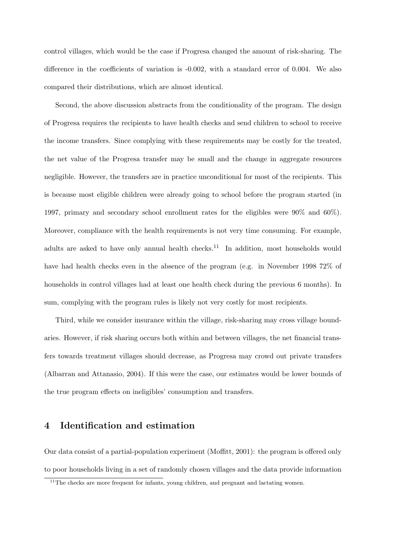control villages, which would be the case if Progresa changed the amount of risk-sharing. The difference in the coefficients of variation is -0.002, with a standard error of 0.004. We also compared their distributions, which are almost identical.

Second, the above discussion abstracts from the conditionality of the program. The design of Progresa requires the recipients to have health checks and send children to school to receive the income transfers. Since complying with these requirements may be costly for the treated, the net value of the Progresa transfer may be small and the change in aggregate resources negligible. However, the transfers are in practice unconditional for most of the recipients. This is because most eligible children were already going to school before the program started (in 1997, primary and secondary school enrollment rates for the eligibles were 90% and 60%). Moreover, compliance with the health requirements is not very time consuming. For example, adults are asked to have only annual health checks.<sup>11</sup> In addition, most households would have had health checks even in the absence of the program (e.g. in November 1998 72% of households in control villages had at least one health check during the previous 6 months). In sum, complying with the program rules is likely not very costly for most recipients.

Third, while we consider insurance within the village, risk-sharing may cross village boundaries. However, if risk sharing occurs both within and between villages, the net financial transfers towards treatment villages should decrease, as Progresa may crowd out private transfers (Albarran and Attanasio, 2004). If this were the case, our estimates would be lower bounds of the true program effects on ineligibles' consumption and transfers.

## 4 Identification and estimation

Our data consist of a partial-population experiment (Moffitt, 2001): the program is offered only to poor households living in a set of randomly chosen villages and the data provide information

 $11$ The checks are more frequent for infants, young children, and pregnant and lactating women.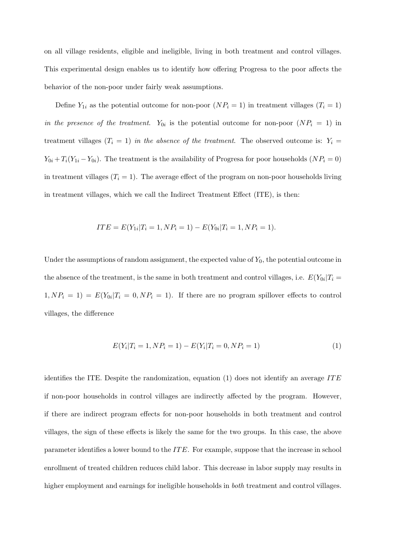on all village residents, eligible and ineligible, living in both treatment and control villages. This experimental design enables us to identify how offering Progresa to the poor affects the behavior of the non-poor under fairly weak assumptions.

Define  $Y_{1i}$  as the potential outcome for non-poor  $(NP_i = 1)$  in treatment villages  $(T_i = 1)$ in the presence of the treatment.  $Y_{0i}$  is the potential outcome for non-poor  $(NP_i = 1)$  in treatment villages  $(T_i = 1)$  in the absence of the treatment. The observed outcome is:  $Y_i =$  $Y_{0i} + T_i(Y_{1i} - Y_{0i})$ . The treatment is the availability of Progresa for poor households  $(NP_i = 0)$ in treatment villages  $(T<sub>i</sub> = 1)$ . The average effect of the program on non-poor households living in treatment villages, which we call the Indirect Treatment Effect (ITE), is then:

$$
ITE = E(Y_{1i} | T_i = 1, NP_i = 1) - E(Y_{0i} | T_i = 1, NP_i = 1).
$$

Under the assumptions of random assignment, the expected value of  $Y_0$ , the potential outcome in the absence of the treatment, is the same in both treatment and control villages, i.e.  $E(Y_{0i}|T_i =$  $1, NP_i = 1$  =  $E(Y_{0i}|T_i = 0, NP_i = 1)$ . If there are no program spillover effects to control villages, the difference

$$
E(Y_i|T_i = 1, NP_i = 1) - E(Y_i|T_i = 0, NP_i = 1)
$$
\n(1)

identifies the ITE. Despite the randomization, equation (1) does not identify an average ITE if non-poor households in control villages are indirectly affected by the program. However, if there are indirect program effects for non-poor households in both treatment and control villages, the sign of these effects is likely the same for the two groups. In this case, the above parameter identifies a lower bound to the  $ITE$ . For example, suppose that the increase in school enrollment of treated children reduces child labor. This decrease in labor supply may results in higher employment and earnings for ineligible households in *both* treatment and control villages.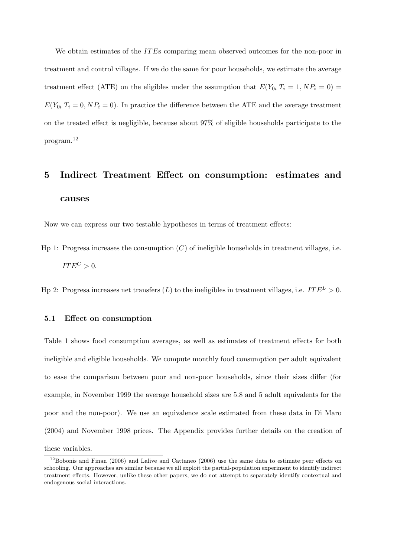We obtain estimates of the ITEs comparing mean observed outcomes for the non-poor in treatment and control villages. If we do the same for poor households, we estimate the average treatment effect (ATE) on the eligibles under the assumption that  $E(Y_{0i}|T_i=1, NP_i=0)$  $E(Y_{0i}|T_i=0, NP_i=0)$ . In practice the difference between the ATE and the average treatment on the treated effect is negligible, because about 97% of eligible households participate to the program.<sup>12</sup>

# 5 Indirect Treatment Effect on consumption: estimates and causes

Now we can express our two testable hypotheses in terms of treatment effects:

Hp 1: Progresa increases the consumption  $(C)$  of ineligible households in treatment villages, i.e.  $ITE^C > 0.$ 

Hp 2: Progresa increases net transfers  $(L)$  to the ineligibles in treatment villages, i.e.  $ITE^{L} > 0$ .

#### 5.1 Effect on consumption

Table 1 shows food consumption averages, as well as estimates of treatment effects for both ineligible and eligible households. We compute monthly food consumption per adult equivalent to ease the comparison between poor and non-poor households, since their sizes differ (for example, in November 1999 the average household sizes are 5.8 and 5 adult equivalents for the poor and the non-poor). We use an equivalence scale estimated from these data in Di Maro (2004) and November 1998 prices. The Appendix provides further details on the creation of these variables.

 $12$ Bobonis and Finan (2006) and Lalive and Cattaneo (2006) use the same data to estimate peer effects on schooling. Our approaches are similar because we all exploit the partial-population experiment to identify indirect treatment effects. However, unlike these other papers, we do not attempt to separately identify contextual and endogenous social interactions.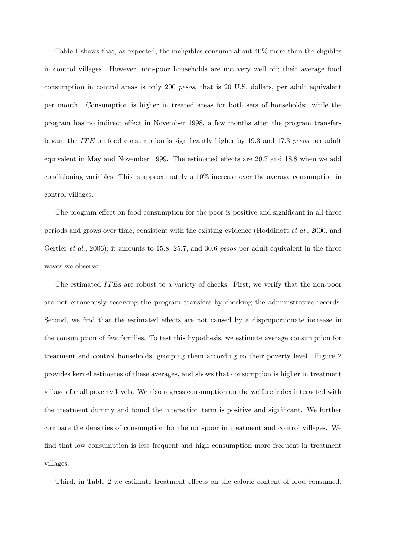Table 1 shows that, as expected, the ineligibles consume about 40% more than the eligibles in control villages. However, non-poor households are not very well off; their average food consumption in control areas is only 200 pesos, that is 20 U.S. dollars, per adult equivalent per month. Consumption is higher in treated areas for both sets of households: while the program has no indirect effect in November 1998, a few months after the program transfers began, the ITE on food consumption is significantly higher by 19.3 and 17.3 pesos per adult equivalent in May and November 1999. The estimated effects are 20.7 and 18.8 when we add conditioning variables. This is approximately a 10% increase over the average consumption in control villages.

The program effect on food consumption for the poor is positive and significant in all three periods and grows over time, consistent with the existing evidence (Hoddinott et al., 2000, and Gertler *et al.*, 2006); it amounts to 15.8, 25.7, and 30.6 pesos per adult equivalent in the three waves we observe.

The estimated ITEs are robust to a variety of checks. First, we verify that the non-poor are not erroneously receiving the program transfers by checking the administrative records. Second, we find that the estimated effects are not caused by a disproportionate increase in the consumption of few families. To test this hypothesis, we estimate average consumption for treatment and control households, grouping them according to their poverty level. Figure 2 provides kernel estimates of these averages, and shows that consumption is higher in treatment villages for all poverty levels. We also regress consumption on the welfare index interacted with the treatment dummy and found the interaction term is positive and significant. We further compare the densities of consumption for the non-poor in treatment and control villages. We find that low consumption is less frequent and high consumption more frequent in treatment villages.

Third, in Table 2 we estimate treatment effects on the caloric content of food consumed,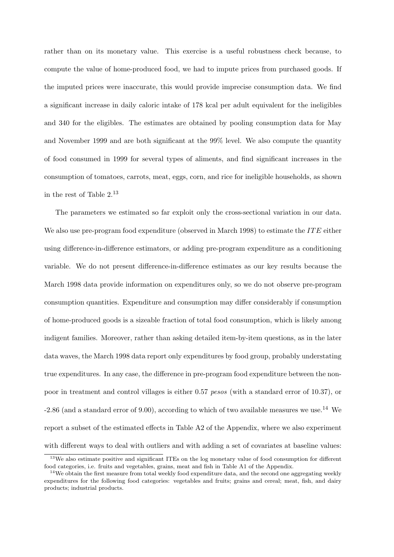rather than on its monetary value. This exercise is a useful robustness check because, to compute the value of home-produced food, we had to impute prices from purchased goods. If the imputed prices were inaccurate, this would provide imprecise consumption data. We find a significant increase in daily caloric intake of 178 kcal per adult equivalent for the ineligibles and 340 for the eligibles. The estimates are obtained by pooling consumption data for May and November 1999 and are both significant at the 99% level. We also compute the quantity of food consumed in 1999 for several types of aliments, and find significant increases in the consumption of tomatoes, carrots, meat, eggs, corn, and rice for ineligible households, as shown in the rest of Table  $2^{13}$ 

The parameters we estimated so far exploit only the cross-sectional variation in our data. We also use pre-program food expenditure (observed in March 1998) to estimate the  $ITE$  either using difference-in-difference estimators, or adding pre-program expenditure as a conditioning variable. We do not present difference-in-difference estimates as our key results because the March 1998 data provide information on expenditures only, so we do not observe pre-program consumption quantities. Expenditure and consumption may differ considerably if consumption of home-produced goods is a sizeable fraction of total food consumption, which is likely among indigent families. Moreover, rather than asking detailed item-by-item questions, as in the later data waves, the March 1998 data report only expenditures by food group, probably understating true expenditures. In any case, the difference in pre-program food expenditure between the nonpoor in treatment and control villages is either 0.57 pesos (with a standard error of 10.37), or  $-2.86$  (and a standard error of 9.00), according to which of two available measures we use.<sup>14</sup> We report a subset of the estimated effects in Table A2 of the Appendix, where we also experiment with different ways to deal with outliers and with adding a set of covariates at baseline values:

<sup>&</sup>lt;sup>13</sup>We also estimate positive and significant ITEs on the log monetary value of food consumption for different food categories, i.e. fruits and vegetables, grains, meat and fish in Table A1 of the Appendix.

 $14$ We obtain the first measure from total weekly food expenditure data, and the second one aggregating weekly expenditures for the following food categories: vegetables and fruits; grains and cereal; meat, fish, and dairy products; industrial products.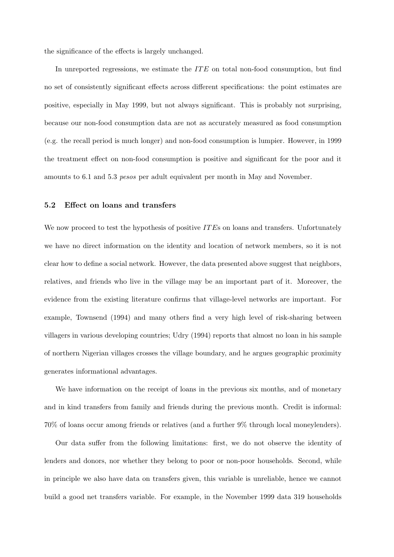the significance of the effects is largely unchanged.

In unreported regressions, we estimate the  $ITE$  on total non-food consumption, but find no set of consistently significant effects across different specifications: the point estimates are positive, especially in May 1999, but not always significant. This is probably not surprising, because our non-food consumption data are not as accurately measured as food consumption (e.g. the recall period is much longer) and non-food consumption is lumpier. However, in 1999 the treatment effect on non-food consumption is positive and significant for the poor and it amounts to 6.1 and 5.3 pesos per adult equivalent per month in May and November.

#### 5.2 Effect on loans and transfers

We now proceed to test the hypothesis of positive  $ITEs$  on loans and transfers. Unfortunately we have no direct information on the identity and location of network members, so it is not clear how to define a social network. However, the data presented above suggest that neighbors, relatives, and friends who live in the village may be an important part of it. Moreover, the evidence from the existing literature confirms that village-level networks are important. For example, Townsend (1994) and many others find a very high level of risk-sharing between villagers in various developing countries; Udry (1994) reports that almost no loan in his sample of northern Nigerian villages crosses the village boundary, and he argues geographic proximity generates informational advantages.

We have information on the receipt of loans in the previous six months, and of monetary and in kind transfers from family and friends during the previous month. Credit is informal: 70% of loans occur among friends or relatives (and a further 9% through local moneylenders).

Our data suffer from the following limitations: first, we do not observe the identity of lenders and donors, nor whether they belong to poor or non-poor households. Second, while in principle we also have data on transfers given, this variable is unreliable, hence we cannot build a good net transfers variable. For example, in the November 1999 data 319 households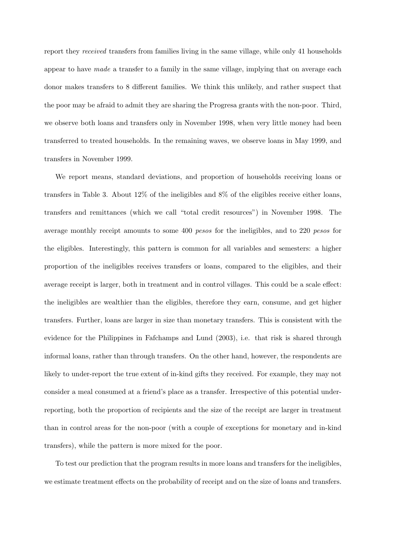report they received transfers from families living in the same village, while only 41 households appear to have made a transfer to a family in the same village, implying that on average each donor makes transfers to 8 different families. We think this unlikely, and rather suspect that the poor may be afraid to admit they are sharing the Progresa grants with the non-poor. Third, we observe both loans and transfers only in November 1998, when very little money had been transferred to treated households. In the remaining waves, we observe loans in May 1999, and transfers in November 1999.

We report means, standard deviations, and proportion of households receiving loans or transfers in Table 3. About 12% of the ineligibles and 8% of the eligibles receive either loans, transfers and remittances (which we call "total credit resources") in November 1998. The average monthly receipt amounts to some 400 pesos for the ineligibles, and to 220 pesos for the eligibles. Interestingly, this pattern is common for all variables and semesters: a higher proportion of the ineligibles receives transfers or loans, compared to the eligibles, and their average receipt is larger, both in treatment and in control villages. This could be a scale effect: the ineligibles are wealthier than the eligibles, therefore they earn, consume, and get higher transfers. Further, loans are larger in size than monetary transfers. This is consistent with the evidence for the Philippines in Fafchamps and Lund (2003), i.e. that risk is shared through informal loans, rather than through transfers. On the other hand, however, the respondents are likely to under-report the true extent of in-kind gifts they received. For example, they may not consider a meal consumed at a friend's place as a transfer. Irrespective of this potential underreporting, both the proportion of recipients and the size of the receipt are larger in treatment than in control areas for the non-poor (with a couple of exceptions for monetary and in-kind transfers), while the pattern is more mixed for the poor.

To test our prediction that the program results in more loans and transfers for the ineligibles, we estimate treatment effects on the probability of receipt and on the size of loans and transfers.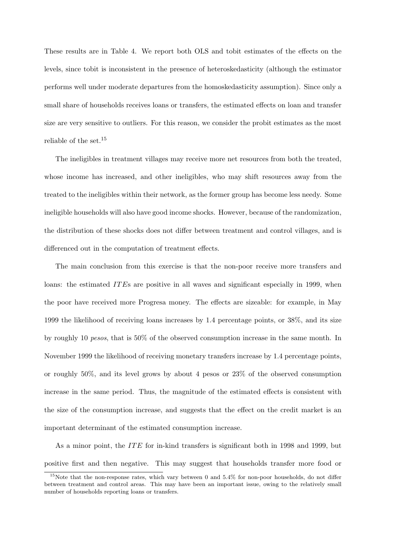These results are in Table 4. We report both OLS and tobit estimates of the effects on the levels, since tobit is inconsistent in the presence of heteroskedasticity (although the estimator performs well under moderate departures from the homoskedasticity assumption). Since only a small share of households receives loans or transfers, the estimated effects on loan and transfer size are very sensitive to outliers. For this reason, we consider the probit estimates as the most reliable of the set.<sup>15</sup>

The ineligibles in treatment villages may receive more net resources from both the treated, whose income has increased, and other ineligibles, who may shift resources away from the treated to the ineligibles within their network, as the former group has become less needy. Some ineligible households will also have good income shocks. However, because of the randomization, the distribution of these shocks does not differ between treatment and control villages, and is differenced out in the computation of treatment effects.

The main conclusion from this exercise is that the non-poor receive more transfers and loans: the estimated ITEs are positive in all waves and significant especially in 1999, when the poor have received more Progresa money. The effects are sizeable: for example, in May 1999 the likelihood of receiving loans increases by 1.4 percentage points, or 38%, and its size by roughly 10 pesos, that is 50% of the observed consumption increase in the same month. In November 1999 the likelihood of receiving monetary transfers increase by 1.4 percentage points, or roughly 50%, and its level grows by about 4 pesos or 23% of the observed consumption increase in the same period. Thus, the magnitude of the estimated effects is consistent with the size of the consumption increase, and suggests that the effect on the credit market is an important determinant of the estimated consumption increase.

As a minor point, the ITE for in-kind transfers is significant both in 1998 and 1999, but positive first and then negative. This may suggest that households transfer more food or

<sup>&</sup>lt;sup>15</sup>Note that the non-response rates, which vary between 0 and 5.4% for non-poor households, do not differ between treatment and control areas. This may have been an important issue, owing to the relatively small number of households reporting loans or transfers.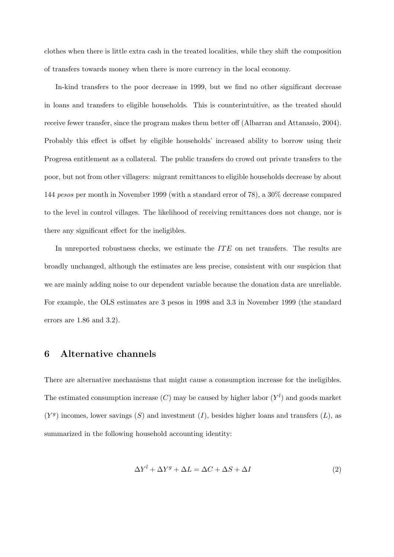clothes when there is little extra cash in the treated localities, while they shift the composition of transfers towards money when there is more currency in the local economy.

In-kind transfers to the poor decrease in 1999, but we find no other significant decrease in loans and transfers to eligible households. This is counterintuitive, as the treated should receive fewer transfer, since the program makes them better off (Albarran and Attanasio, 2004). Probably this effect is offset by eligible households' increased ability to borrow using their Progresa entitlement as a collateral. The public transfers do crowd out private transfers to the poor, but not from other villagers: migrant remittances to eligible households decrease by about 144 pesos per month in November 1999 (with a standard error of 78), a 30% decrease compared to the level in control villages. The likelihood of receiving remittances does not change, nor is there any significant effect for the ineligibles.

In unreported robustness checks, we estimate the ITE on net transfers. The results are broadly unchanged, although the estimates are less precise, consistent with our suspicion that we are mainly adding noise to our dependent variable because the donation data are unreliable. For example, the OLS estimates are 3 pesos in 1998 and 3.3 in November 1999 (the standard errors are 1.86 and 3.2).

## 6 Alternative channels

There are alternative mechanisms that might cause a consumption increase for the ineligibles. The estimated consumption increase  $(C)$  may be caused by higher labor  $(Y<sup>l</sup>)$  and goods market  $(Y<sup>g</sup>)$  incomes, lower savings  $(S)$  and investment  $(I)$ , besides higher loans and transfers  $(L)$ , as summarized in the following household accounting identity:

$$
\Delta Y^l + \Delta Y^g + \Delta L = \Delta C + \Delta S + \Delta I \tag{2}
$$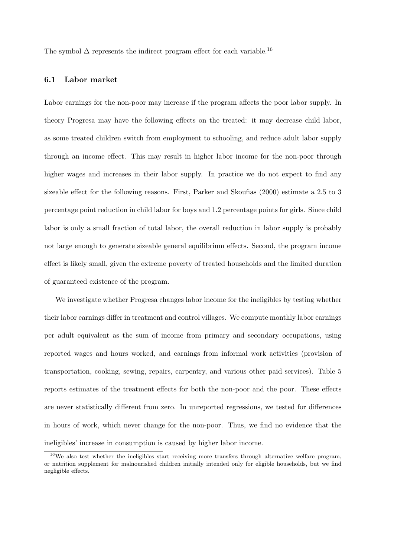The symbol  $\Delta$  represents the indirect program effect for each variable.<sup>16</sup>

#### 6.1 Labor market

Labor earnings for the non-poor may increase if the program affects the poor labor supply. In theory Progresa may have the following effects on the treated: it may decrease child labor, as some treated children switch from employment to schooling, and reduce adult labor supply through an income effect. This may result in higher labor income for the non-poor through higher wages and increases in their labor supply. In practice we do not expect to find any sizeable effect for the following reasons. First, Parker and Skoufias (2000) estimate a 2.5 to 3 percentage point reduction in child labor for boys and 1.2 percentage points for girls. Since child labor is only a small fraction of total labor, the overall reduction in labor supply is probably not large enough to generate sizeable general equilibrium effects. Second, the program income effect is likely small, given the extreme poverty of treated households and the limited duration of guaranteed existence of the program.

We investigate whether Progresa changes labor income for the ineligibles by testing whether their labor earnings differ in treatment and control villages. We compute monthly labor earnings per adult equivalent as the sum of income from primary and secondary occupations, using reported wages and hours worked, and earnings from informal work activities (provision of transportation, cooking, sewing, repairs, carpentry, and various other paid services). Table 5 reports estimates of the treatment effects for both the non-poor and the poor. These effects are never statistically different from zero. In unreported regressions, we tested for differences in hours of work, which never change for the non-poor. Thus, we find no evidence that the ineligibles' increase in consumption is caused by higher labor income.

 $16$ We also test whether the ineligibles start receiving more transfers through alternative welfare program, or nutrition supplement for malnourished children initially intended only for eligible households, but we find negligible effects.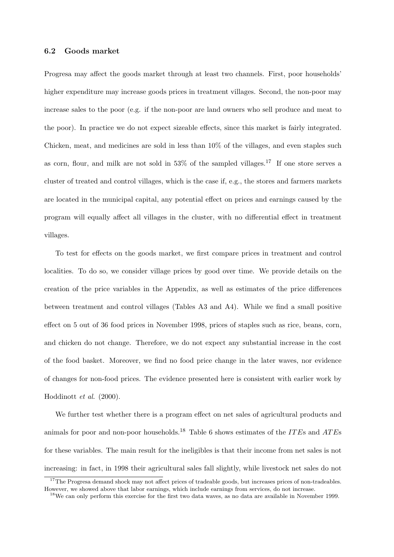#### 6.2 Goods market

Progresa may affect the goods market through at least two channels. First, poor households' higher expenditure may increase goods prices in treatment villages. Second, the non-poor may increase sales to the poor (e.g. if the non-poor are land owners who sell produce and meat to the poor). In practice we do not expect sizeable effects, since this market is fairly integrated. Chicken, meat, and medicines are sold in less than 10% of the villages, and even staples such as corn, flour, and milk are not sold in  $53\%$  of the sampled villages.<sup>17</sup> If one store serves a cluster of treated and control villages, which is the case if, e.g., the stores and farmers markets are located in the municipal capital, any potential effect on prices and earnings caused by the program will equally affect all villages in the cluster, with no differential effect in treatment villages.

To test for effects on the goods market, we first compare prices in treatment and control localities. To do so, we consider village prices by good over time. We provide details on the creation of the price variables in the Appendix, as well as estimates of the price differences between treatment and control villages (Tables A3 and A4). While we find a small positive effect on 5 out of 36 food prices in November 1998, prices of staples such as rice, beans, corn, and chicken do not change. Therefore, we do not expect any substantial increase in the cost of the food basket. Moreover, we find no food price change in the later waves, nor evidence of changes for non-food prices. The evidence presented here is consistent with earlier work by Hoddinott et al. (2000).

We further test whether there is a program effect on net sales of agricultural products and animals for poor and non-poor households.<sup>18</sup> Table 6 shows estimates of the *ITEs* and *ATEs* for these variables. The main result for the ineligibles is that their income from net sales is not increasing: in fact, in 1998 their agricultural sales fall slightly, while livestock net sales do not

<sup>&</sup>lt;sup>17</sup>The Progresa demand shock may not affect prices of tradeable goods, but increases prices of non-tradeables. However, we showed above that labor earnings, which include earnings from services, do not increase.

<sup>&</sup>lt;sup>18</sup>We can only perform this exercise for the first two data waves, as no data are available in November 1999.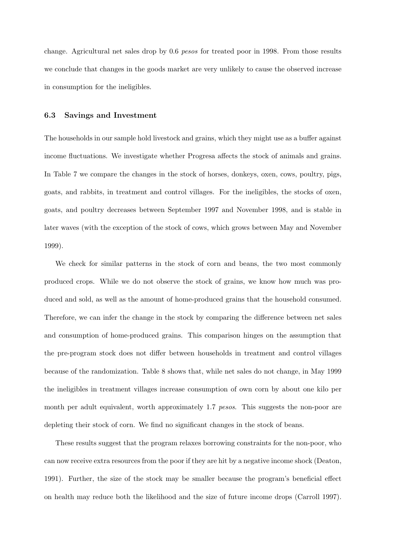change. Agricultural net sales drop by 0.6 pesos for treated poor in 1998. From those results we conclude that changes in the goods market are very unlikely to cause the observed increase in consumption for the ineligibles.

#### 6.3 Savings and Investment

The households in our sample hold livestock and grains, which they might use as a buffer against income fluctuations. We investigate whether Progresa affects the stock of animals and grains. In Table 7 we compare the changes in the stock of horses, donkeys, oxen, cows, poultry, pigs, goats, and rabbits, in treatment and control villages. For the ineligibles, the stocks of oxen, goats, and poultry decreases between September 1997 and November 1998, and is stable in later waves (with the exception of the stock of cows, which grows between May and November 1999).

We check for similar patterns in the stock of corn and beans, the two most commonly produced crops. While we do not observe the stock of grains, we know how much was produced and sold, as well as the amount of home-produced grains that the household consumed. Therefore, we can infer the change in the stock by comparing the difference between net sales and consumption of home-produced grains. This comparison hinges on the assumption that the pre-program stock does not differ between households in treatment and control villages because of the randomization. Table 8 shows that, while net sales do not change, in May 1999 the ineligibles in treatment villages increase consumption of own corn by about one kilo per month per adult equivalent, worth approximately 1.7 pesos. This suggests the non-poor are depleting their stock of corn. We find no significant changes in the stock of beans.

These results suggest that the program relaxes borrowing constraints for the non-poor, who can now receive extra resources from the poor if they are hit by a negative income shock (Deaton, 1991). Further, the size of the stock may be smaller because the program's beneficial effect on health may reduce both the likelihood and the size of future income drops (Carroll 1997).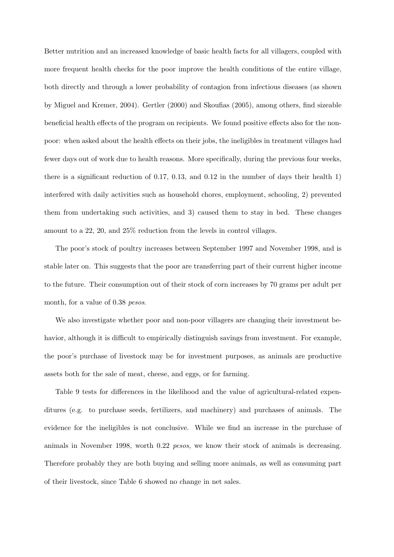Better nutrition and an increased knowledge of basic health facts for all villagers, coupled with more frequent health checks for the poor improve the health conditions of the entire village, both directly and through a lower probability of contagion from infectious diseases (as shown by Miguel and Kremer, 2004). Gertler (2000) and Skoufias (2005), among others, find sizeable beneficial health effects of the program on recipients. We found positive effects also for the nonpoor: when asked about the health effects on their jobs, the ineligibles in treatment villages had fewer days out of work due to health reasons. More specifically, during the previous four weeks, there is a significant reduction of 0.17, 0.13, and 0.12 in the number of days their health 1) interfered with daily activities such as household chores, employment, schooling, 2) prevented them from undertaking such activities, and 3) caused them to stay in bed. These changes amount to a 22, 20, and 25% reduction from the levels in control villages.

The poor's stock of poultry increases between September 1997 and November 1998, and is stable later on. This suggests that the poor are transferring part of their current higher income to the future. Their consumption out of their stock of corn increases by 70 grams per adult per month, for a value of 0.38 *pesos*.

We also investigate whether poor and non-poor villagers are changing their investment behavior, although it is difficult to empirically distinguish savings from investment. For example, the poor's purchase of livestock may be for investment purposes, as animals are productive assets both for the sale of meat, cheese, and eggs, or for farming.

Table 9 tests for differences in the likelihood and the value of agricultural-related expenditures (e.g. to purchase seeds, fertilizers, and machinery) and purchases of animals. The evidence for the ineligibles is not conclusive. While we find an increase in the purchase of animals in November 1998, worth 0.22 pesos, we know their stock of animals is decreasing. Therefore probably they are both buying and selling more animals, as well as consuming part of their livestock, since Table 6 showed no change in net sales.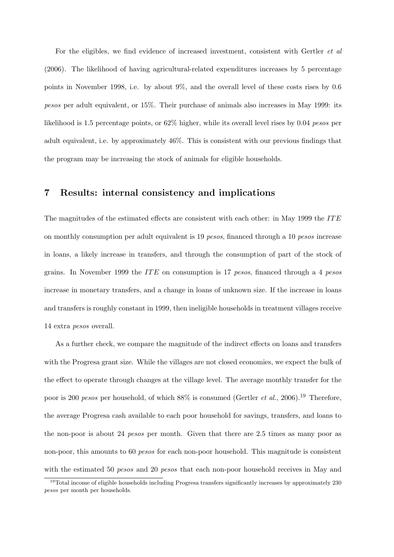For the eligibles, we find evidence of increased investment, consistent with Gertler et al (2006). The likelihood of having agricultural-related expenditures increases by 5 percentage points in November 1998, i.e. by about 9%, and the overall level of these costs rises by 0.6 pesos per adult equivalent, or 15%. Their purchase of animals also increases in May 1999: its likelihood is 1.5 percentage points, or 62% higher, while its overall level rises by 0.04 pesos per adult equivalent, i.e. by approximately 46%. This is consistent with our previous findings that the program may be increasing the stock of animals for eligible households.

### 7 Results: internal consistency and implications

The magnitudes of the estimated effects are consistent with each other: in May 1999 the ITE on monthly consumption per adult equivalent is 19 pesos, financed through a 10 pesos increase in loans, a likely increase in transfers, and through the consumption of part of the stock of grains. In November 1999 the ITE on consumption is 17 pesos, financed through a 4 pesos increase in monetary transfers, and a change in loans of unknown size. If the increase in loans and transfers is roughly constant in 1999, then ineligible households in treatment villages receive 14 extra pesos overall.

As a further check, we compare the magnitude of the indirect effects on loans and transfers with the Progresa grant size. While the villages are not closed economies, we expect the bulk of the effect to operate through changes at the village level. The average monthly transfer for the poor is 200 pesos per household, of which  $88\%$  is consumed (Gertler *et al.*, 2006).<sup>19</sup> Therefore, the average Progresa cash available to each poor household for savings, transfers, and loans to the non-poor is about 24 pesos per month. Given that there are 2.5 times as many poor as non-poor, this amounts to 60 *pesos* for each non-poor household. This magnitude is consistent with the estimated 50 *pesos* and 20 *pesos* that each non-poor household receives in May and

<sup>&</sup>lt;sup>19</sup>Total income of eligible households including Progresa transfers significantly increases by approximately 230 pesos per month per households.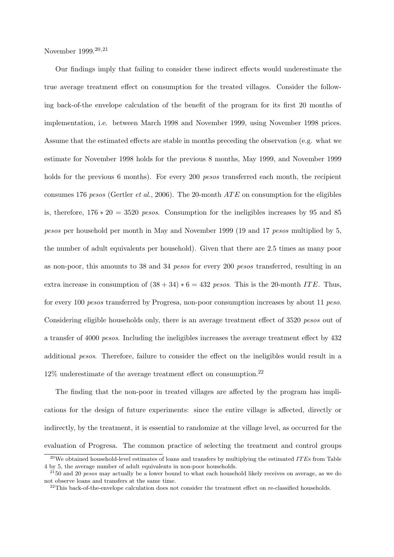November 1999.20,<sup>21</sup>

Our findings imply that failing to consider these indirect effects would underestimate the true average treatment effect on consumption for the treated villages. Consider the following back-of-the envelope calculation of the benefit of the program for its first 20 months of implementation, i.e. between March 1998 and November 1999, using November 1998 prices. Assume that the estimated effects are stable in months preceding the observation (e.g. what we estimate for November 1998 holds for the previous 8 months, May 1999, and November 1999 holds for the previous 6 months). For every 200 *pesos* transferred each month, the recipient consumes 176 pesos (Gertler et al., 2006). The 20-month  $ATE$  on consumption for the eligibles is, therefore,  $176 * 20 = 3520$  pesos. Consumption for the ineligibles increases by 95 and 85 pesos per household per month in May and November 1999 (19 and 17 pesos multiplied by 5, the number of adult equivalents per household). Given that there are 2.5 times as many poor as non-poor, this amounts to 38 and 34 *pesos* for every 200 *pesos* transferred, resulting in an extra increase in consumption of  $(38 + 34) * 6 = 432$  pesos. This is the 20-month ITE. Thus, for every 100 pesos transferred by Progresa, non-poor consumption increases by about 11 peso. Considering eligible households only, there is an average treatment effect of 3520 pesos out of a transfer of 4000 pesos. Including the ineligibles increases the average treatment effect by 432 additional pesos. Therefore, failure to consider the effect on the ineligibles would result in a  $12\%$  underestimate of the average treatment effect on consumption.<sup>22</sup>

The finding that the non-poor in treated villages are affected by the program has implications for the design of future experiments: since the entire village is affected, directly or indirectly, by the treatment, it is essential to randomize at the village level, as occurred for the evaluation of Progresa. The common practice of selecting the treatment and control groups

 $^{20}$ We obtained household-level estimates of loans and transfers by multiplying the estimated ITEs from Table 4 by 5, the average number of adult equivalents in non-poor households.

 $^{21}$ 50 and 20 pesos may actually be a lower bound to what each household likely receives on average, as we do not observe loans and transfers at the same time.

 $22$ This back-of-the-envelope calculation does not consider the treatment effect on re-classified households.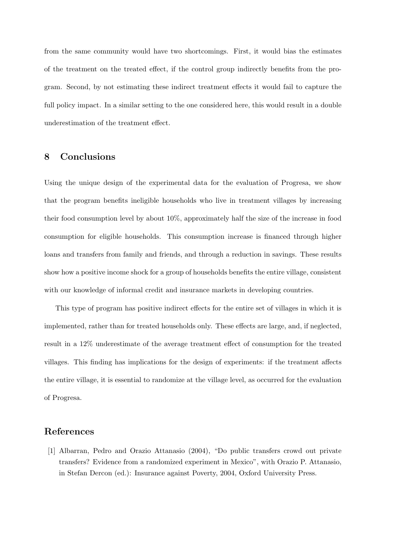from the same community would have two shortcomings. First, it would bias the estimates of the treatment on the treated effect, if the control group indirectly benefits from the program. Second, by not estimating these indirect treatment effects it would fail to capture the full policy impact. In a similar setting to the one considered here, this would result in a double underestimation of the treatment effect.

## 8 Conclusions

Using the unique design of the experimental data for the evaluation of Progresa, we show that the program benefits ineligible households who live in treatment villages by increasing their food consumption level by about 10%, approximately half the size of the increase in food consumption for eligible households. This consumption increase is financed through higher loans and transfers from family and friends, and through a reduction in savings. These results show how a positive income shock for a group of households benefits the entire village, consistent with our knowledge of informal credit and insurance markets in developing countries.

This type of program has positive indirect effects for the entire set of villages in which it is implemented, rather than for treated households only. These effects are large, and, if neglected, result in a 12% underestimate of the average treatment effect of consumption for the treated villages. This finding has implications for the design of experiments: if the treatment affects the entire village, it is essential to randomize at the village level, as occurred for the evaluation of Progresa.

## References

[1] Albarran, Pedro and Orazio Attanasio (2004), "Do public transfers crowd out private transfers? Evidence from a randomized experiment in Mexico", with Orazio P. Attanasio, in Stefan Dercon (ed.): Insurance against Poverty, 2004, Oxford University Press.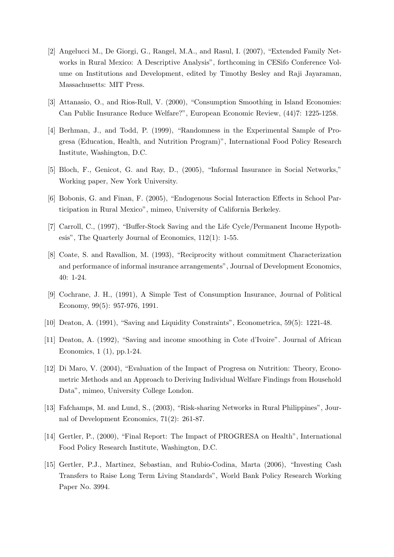- [2] Angelucci M., De Giorgi, G., Rangel, M.A., and Rasul, I. (2007), "Extended Family Networks in Rural Mexico: A Descriptive Analysis", forthcoming in CESifo Conference Volume on Institutions and Development, edited by Timothy Besley and Raji Jayaraman, Massachusetts: MIT Press.
- [3] Attanasio, O., and Rios-Rull, V. (2000), "Consumption Smoothing in Island Economies: Can Public Insurance Reduce Welfare?", European Economic Review, (44)7: 1225-1258.
- [4] Berhman, J., and Todd, P. (1999), "Randomness in the Experimental Sample of Progresa (Education, Health, and Nutrition Program)", International Food Policy Research Institute, Washington, D.C.
- [5] Bloch, F., Genicot, G. and Ray, D., (2005), "Informal Insurance in Social Networks," Working paper, New York University.
- [6] Bobonis, G. and Finan, F. (2005), "Endogenous Social Interaction Effects in School Participation in Rural Mexico", mimeo, University of California Berkeley.
- [7] Carroll, C., (1997), "Buffer-Stock Saving and the Life Cycle/Permanent Income Hypothesis", The Quarterly Journal of Economics, 112(1): 1-55.
- [8] Coate, S. and Ravallion, M. (1993), "Reciprocity without commitment Characterization and performance of informal insurance arrangements", Journal of Development Economics, 40: 1-24.
- [9] Cochrane, J. H., (1991), A Simple Test of Consumption Insurance, Journal of Political Economy, 99(5): 957-976, 1991.
- [10] Deaton, A. (1991), "Saving and Liquidity Constraints", Econometrica, 59(5): 1221-48.
- [11] Deaton, A. (1992), "Saving and income smoothing in Cote d'Ivoire". Journal of African Economics, 1 (1), pp.1-24.
- [12] Di Maro, V. (2004), "Evaluation of the Impact of Progresa on Nutrition: Theory, Econometric Methods and an Approach to Deriving Individual Welfare Findings from Household Data", mimeo, University College London.
- [13] Fafchamps, M. and Lund, S., (2003), "Risk-sharing Networks in Rural Philippines", Journal of Development Economics, 71(2): 261-87.
- [14] Gertler, P., (2000), "Final Report: The Impact of PROGRESA on Health", International Food Policy Research Institute, Washington, D.C.
- [15] Gertler, P.J., Martinez, Sebastian, and Rubio-Codina, Marta (2006), "Investing Cash Transfers to Raise Long Term Living Standards", World Bank Policy Research Working Paper No. 3994.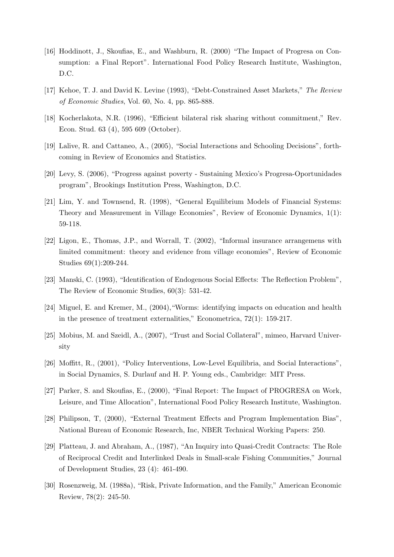- [16] Hoddinott, J., Skoufias, E., and Washburn, R. (2000) "The Impact of Progresa on Consumption: a Final Report". International Food Policy Research Institute, Washington, D.C.
- [17] Kehoe, T. J. and David K. Levine (1993), "Debt-Constrained Asset Markets," The Review of Economic Studies, Vol. 60, No. 4, pp. 865-888.
- [18] Kocherlakota, N.R. (1996), "Efficient bilateral risk sharing without commitment," Rev. Econ. Stud. 63 (4), 595 609 (October).
- [19] Lalive, R. and Cattaneo, A., (2005), "Social Interactions and Schooling Decisions", forthcoming in Review of Economics and Statistics.
- [20] Levy, S. (2006), "Progress against poverty Sustaining Mexico's Progresa-Oportunidades program", Brookings Institution Press, Washington, D.C.
- [21] Lim, Y. and Townsend, R. (1998), "General Equilibrium Models of Financial Systems: Theory and Measurement in Village Economies", Review of Economic Dynamics, 1(1): 59-118.
- [22] Ligon, E., Thomas, J.P., and Worrall, T. (2002), "Informal insurance arrangemens with limited commitment: theory and evidence from village economies", Review of Economic Studies 69(1):209-244.
- [23] Manski, C. (1993), "Identification of Endogenous Social Effects: The Reflection Problem", The Review of Economic Studies, 60(3): 531-42.
- [24] Miguel, E. and Kremer, M., (2004),"Worms: identifying impacts on education and health in the presence of treatment externalities," Econometrica, 72(1): 159-217.
- [25] Mobius, M. and Szeidl, A., (2007), "Trust and Social Collateral", mimeo, Harvard University
- [26] Moffitt, R., (2001), "Policy Interventions, Low-Level Equilibria, and Social Interactions", in Social Dynamics, S. Durlauf and H. P. Young eds., Cambridge: MIT Press.
- [27] Parker, S. and Skoufias, E., (2000), "Final Report: The Impact of PROGRESA on Work, Leisure, and Time Allocation", International Food Policy Research Institute, Washington.
- [28] Philipson, T, (2000), "External Treatment Effects and Program Implementation Bias", National Bureau of Economic Research, Inc, NBER Technical Working Papers: 250.
- [29] Platteau, J. and Abraham, A., (1987), "An Inquiry into Quasi-Credit Contracts: The Role of Reciprocal Credit and Interlinked Deals in Small-scale Fishing Communities," Journal of Development Studies, 23 (4): 461-490.
- [30] Rosenzweig, M. (1988a), "Risk, Private Information, and the Family," American Economic Review, 78(2): 245-50.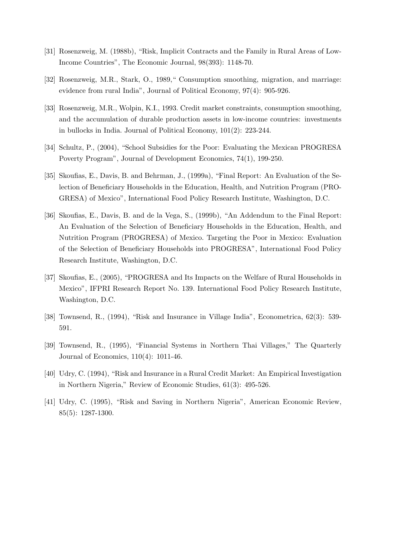- [31] Rosenzweig, M. (1988b), "Risk, Implicit Contracts and the Family in Rural Areas of Low-Income Countries", The Economic Journal, 98(393): 1148-70.
- [32] Rosenzweig, M.R., Stark, O., 1989," Consumption smoothing, migration, and marriage: evidence from rural India", Journal of Political Economy, 97(4): 905-926.
- [33] Rosenzweig, M.R., Wolpin, K.I., 1993. Credit market constraints, consumption smoothing, and the accumulation of durable production assets in low-income countries: investments in bullocks in India. Journal of Political Economy, 101(2): 223-244.
- [34] Schultz, P., (2004), "School Subsidies for the Poor: Evaluating the Mexican PROGRESA Poverty Program", Journal of Development Economics, 74(1), 199-250.
- [35] Skoufias, E., Davis, B. and Behrman, J., (1999a), "Final Report: An Evaluation of the Selection of Beneficiary Households in the Education, Health, and Nutrition Program (PRO-GRESA) of Mexico", International Food Policy Research Institute, Washington, D.C.
- [36] Skoufias, E., Davis, B. and de la Vega, S., (1999b), "An Addendum to the Final Report: An Evaluation of the Selection of Beneficiary Households in the Education, Health, and Nutrition Program (PROGRESA) of Mexico. Targeting the Poor in Mexico: Evaluation of the Selection of Beneficiary Households into PROGRESA", International Food Policy Research Institute, Washington, D.C.
- [37] Skoufias, E., (2005), "PROGRESA and Its Impacts on the Welfare of Rural Households in Mexico", IFPRI Research Report No. 139. International Food Policy Research Institute, Washington, D.C.
- [38] Townsend, R., (1994), "Risk and Insurance in Village India", Econometrica, 62(3): 539- 591.
- [39] Townsend, R., (1995), "Financial Systems in Northern Thai Villages," The Quarterly Journal of Economics, 110(4): 1011-46.
- [40] Udry, C. (1994), "Risk and Insurance in a Rural Credit Market: An Empirical Investigation in Northern Nigeria," Review of Economic Studies, 61(3): 495-526.
- [41] Udry, C. (1995), "Risk and Saving in Northern Nigeria", American Economic Review, 85(5): 1287-1300.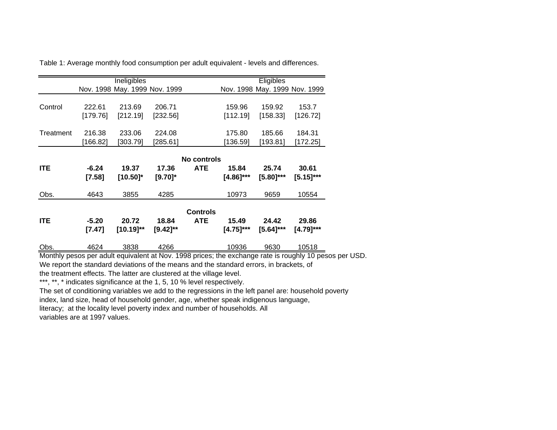|            |                     | Ineligibles                   |                       |                               | Eligibles             |                               |                       |
|------------|---------------------|-------------------------------|-----------------------|-------------------------------|-----------------------|-------------------------------|-----------------------|
|            |                     | Nov. 1998 May. 1999 Nov. 1999 |                       |                               |                       | Nov. 1998 May. 1999 Nov. 1999 |                       |
| Control    | 222.61<br>[179.76]  | 213.69<br>[212.19]            | 206.71<br>[232.56]    |                               | 159.96<br>[112.19]    | 159.92<br>[158.33]            | 153.7<br>[126.72]     |
| Treatment  | 216.38<br>[166.82]  | 233.06<br>[303.79]            | 224.08<br>[285.61]    |                               | 175.80<br>[136.59]    | 185.66<br>[193.81]            | 184.31<br>[172.25]    |
| <b>ITE</b> | $-6.24$<br>$[7.58]$ | 19.37<br>$[10.50]$ *          | 17.36<br>$[9.70]^{*}$ | No controls<br><b>ATE</b>     | 15.84<br>$[4.86]$ *** | 25.74<br>$[5.80]$ ***         | 30.61<br>$[5.15]$ *** |
| Obs.       | 4643                | 3855                          | 4285                  |                               | 10973                 | 9659                          | 10554                 |
| <b>ITE</b> | $-5.20$<br>$[7.47]$ | 20.72<br>$[10.19]^{**}$       | 18.84<br>[9.42]**     | <b>Controls</b><br><b>ATE</b> | 15.49<br>$[4.75]$ *** | 24.42<br>$[5.64]$ ***         | 29.86<br>$[4.79]$ *** |
| Obs.       | 4624                | 3838                          | 4266                  |                               | 10936                 | 9630                          | 10518                 |

Table 1: Average monthly food consumption per adult equivalent - levels and differences.

Monthly pesos per adult equivalent at Nov. 1998 prices; the exchange rate is roughly 10 pesos per USD. We report the standard deviations of the means and the standard errors, in brackets, of

the treatment effects. The latter are clustered at the village level.

\*\*\*, \*\*, \* indicates significance at the 1, 5, 10 % level respectively.

The set of conditioning variables we add to the regressions in the left panel are: household poverty

index, land size, head of household gender, age, whether speak indigenous language,

literacy; at the locality level poverty index and number of households. All

variables are at 1997 values.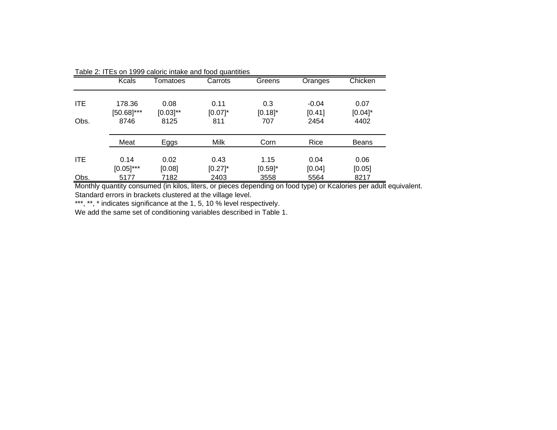|            | <b>Kcals</b>            | Tomatoes              | Carrots            | Greens             | Oranges           | Chicken            |
|------------|-------------------------|-----------------------|--------------------|--------------------|-------------------|--------------------|
| <b>ITE</b> | 178.36<br>$[50.68]$ *** | 0.08<br>$[0.03]^{**}$ | 0.11<br>$[0.07]$ * | 0.3<br>$[0.18]$ *  | $-0.04$<br>[0.41] | 0.07<br>$[0.04]$ * |
| Obs.       | 8746                    | 8125                  | 811                | 707                | 2454              | 4402               |
|            | Meat                    | Eggs                  | <b>Milk</b>        | Corn               | Rice              | <b>Beans</b>       |
| <b>ITE</b> | 0.14<br>$[0.05]^{***}$  | 0.02<br>[0.08]        | 0.43<br>$[0.27]$ * | 1.15<br>$[0.59]$ * | 0.04<br>[0.04]    | 0.06<br>[0.05]     |
| Obs.       | 5177                    | 7182                  | 2403               | 3558               | 5564              | 8217               |

Table 2: ITEs on 1999 caloric intake and food quantities

Monthly quantity consumed (in kilos, liters, or pieces depending on food type) or Kcalories per adult equivalent. Standard errors in brackets clustered at the village level.

\*\*\*, \*\*, \* indicates significance at the 1, 5, 10 % level respectively.

We add the same set of conditioning variables described in Table 1.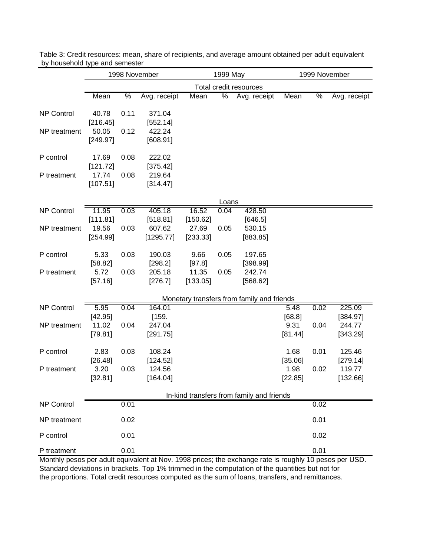|                   | 1998 November                 |               |                                 | 1999 May                      |                        |                                            | 1999 November             |               |                                |
|-------------------|-------------------------------|---------------|---------------------------------|-------------------------------|------------------------|--------------------------------------------|---------------------------|---------------|--------------------------------|
|                   |                               |               |                                 |                               | Total credit resources |                                            |                           |               |                                |
|                   | Mean                          | $\frac{0}{6}$ | Avg. receipt                    | Mean                          | %                      | Avg. receipt                               | Mean                      | $\frac{1}{2}$ | Avg. receipt                   |
| <b>NP Control</b> | 40.78                         | 0.11          | 371.04                          |                               |                        |                                            |                           |               |                                |
| NP treatment      | [216.45]<br>50.05<br>[249.97] | 0.12          | [552.14]<br>422.24<br>[608.91]  |                               |                        |                                            |                           |               |                                |
| P control         | 17.69<br>[121.72]             | 0.08          | 222.02<br>[375.42]              |                               |                        |                                            |                           |               |                                |
| P treatment       | 17.74<br>[107.51]             | 0.08          | 219.64<br>[314.47]              |                               |                        |                                            |                           |               |                                |
|                   |                               |               |                                 |                               | Loans                  |                                            |                           |               |                                |
| <b>NP Control</b> | 11.95                         | 0.03          | 405.18                          | 16.52                         | 0.04                   | 428.50                                     |                           |               |                                |
| NP treatment      | [111.81]<br>19.56<br>[254.99] | 0.03          | [518.81]<br>607.62<br>[1295.77] | [150.62]<br>27.69<br>[233.33] | 0.05                   | [646.5]<br>530.15<br>[883.85]              |                           |               |                                |
| P control         | 5.33<br>[58.82]               | 0.03          | 190.03<br>[298.2]               | 9.66<br>[97.8]                | 0.05                   | 197.65<br>[398.99]                         |                           |               |                                |
| P treatment       | 5.72<br>[57.16]               | 0.03          | 205.18<br>[276.7]               | 11.35<br>[133.05]             | 0.05                   | 242.74<br>[568.62]                         |                           |               |                                |
|                   |                               |               |                                 |                               |                        | Monetary transfers from family and friends |                           |               |                                |
| <b>NP Control</b> | 5.95                          | 0.04          | 164.01                          |                               |                        |                                            | 5.48                      | 0.02          | 225.09                         |
| NP treatment      | [42.95]<br>11.02<br>[79.81]   | 0.04          | [159.<br>247.04<br>[291.75]     |                               |                        |                                            | [68.8]<br>9.31<br>[81.44] | 0.04          | [384.97]<br>244.77<br>[343.29] |
| P control         | 2.83<br>[26.48]               | 0.03          | 108.24<br>[124.52]              |                               |                        |                                            | 1.68<br>[35.06]           | 0.01          | 125.46<br>[279.14]             |
| P treatment       | 3.20<br>[32.81]               | 0.03          | 124.56<br>[164.04]              |                               |                        |                                            | 1.98<br>[22.85]           | 0.02          | 119.77<br>[132.66]             |
|                   |                               |               |                                 |                               |                        | In-kind transfers from family and friends  |                           |               |                                |
| NP Control        |                               | 0.01          |                                 |                               |                        |                                            |                           | 0.02          |                                |
| NP treatment      |                               | 0.02          |                                 |                               |                        |                                            |                           | 0.01          |                                |
| P control         |                               | 0.01          |                                 |                               |                        |                                            |                           | 0.02          |                                |
| P treatment       |                               | 0.01          |                                 |                               |                        |                                            |                           | 0.01          |                                |

Table 3: Credit resources: mean, share of recipients, and average amount obtained per adult equivalent by household type and semester

Monthly pesos per adult equivalent at Nov. 1998 prices; the exchange rate is roughly 10 pesos per USD. Standard deviations in brackets. Top 1% trimmed in the computation of the quantities but not for the proportions. Total credit resources computed as the sum of loans, transfers, and remittances.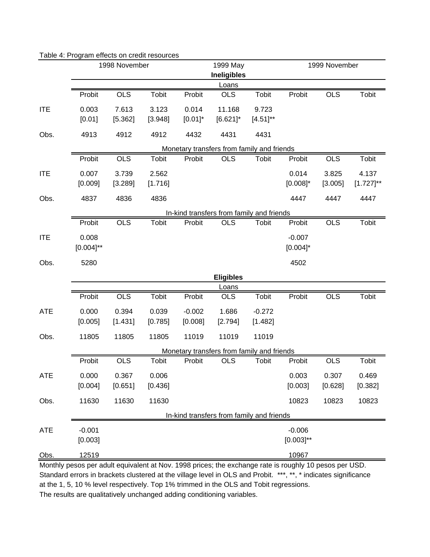|            |                         | 1998 November |              | 1999 May   |                                            |               | 1999 November           |            |                |
|------------|-------------------------|---------------|--------------|------------|--------------------------------------------|---------------|-------------------------|------------|----------------|
|            |                         |               |              |            | <b>Ineligibles</b>                         |               |                         |            |                |
|            |                         |               |              |            | Loans                                      |               |                         |            |                |
|            | Probit                  | <b>OLS</b>    | Tobit        | Probit     | <b>OLS</b>                                 | <b>Tobit</b>  | Probit                  | <b>OLS</b> | Tobit          |
| <b>ITE</b> | 0.003                   | 7.613         | 3.123        | 0.014      | 11.168                                     | 9.723         |                         |            |                |
|            | [0.01]                  | [5.362]       | [3.948]      | $[0.01]$ * | $[6.621]$ *                                | $[4.51]^{**}$ |                         |            |                |
| Obs.       | 4913                    | 4912          | 4912         | 4432       | 4431                                       | 4431          |                         |            |                |
|            |                         |               |              |            | Monetary transfers from family and friends |               |                         |            |                |
|            | Probit                  | <b>OLS</b>    | Tobit        | Probit     | <b>OLS</b>                                 | <b>Tobit</b>  | Probit                  | <b>OLS</b> | Tobit          |
| <b>ITE</b> | 0.007                   | 3.739         | 2.562        |            |                                            |               | 0.014                   | 3.825      | 4.137          |
|            | [0.009]                 | [3.289]       | [1.716]      |            |                                            |               | $[0.008]$ *             | [3.005]    | $[1.727]^{**}$ |
| Obs.       | 4837                    | 4836          | 4836         |            |                                            |               | 4447                    | 4447       | 4447           |
|            |                         |               |              |            | In-kind transfers from family and friends  |               |                         |            |                |
|            | Probit                  | <b>OLS</b>    | Tobit        | Probit     | <b>OLS</b>                                 | <b>Tobit</b>  | Probit                  | <b>OLS</b> | Tobit          |
| <b>ITE</b> | 0.008<br>$[0.004]^{**}$ |               |              |            |                                            |               | $-0.007$<br>$[0.004]$ * |            |                |
| Obs.       | 5280                    |               |              |            |                                            |               | 4502                    |            |                |
|            |                         |               |              |            | <b>Eligibles</b>                           |               |                         |            |                |
|            |                         |               |              |            | <u>Loans</u>                               |               |                         |            |                |
|            | Probit                  | <b>OLS</b>    | <b>Tobit</b> | Probit     | <b>OLS</b>                                 | <b>Tobit</b>  | Probit                  | <b>OLS</b> | Tobit          |
| <b>ATE</b> | 0.000                   | 0.394         | 0.039        | $-0.002$   | 1.686                                      | $-0.272$      |                         |            |                |
|            | [0.005]                 | [1.431]       | [0.785]      | [0.008]    | [2.794]                                    | [1.482]       |                         |            |                |
| Obs.       | 11805                   | 11805         | 11805        | 11019      | 11019                                      | 11019         |                         |            |                |
|            |                         |               |              |            | Monetary transfers from family and friends |               |                         |            |                |
|            | Probit                  | <b>OLS</b>    | Tobit        | Probit     | <b>OLS</b>                                 | Tobit         | Probit                  | <b>OLS</b> | Tobit          |
| <b>ATE</b> | 0.000                   | 0.367         | 0.006        |            |                                            |               | 0.003                   | 0.307      | 0.469          |
|            | [0.004]                 | [0.651]       | [0.436]      |            |                                            |               | [0.003]                 | [0.628]    | [0.382]        |
| Obs.       | 11630                   | 11630         | 11630        |            |                                            |               | 10823                   | 10823      | 10823          |
|            |                         |               |              |            | In-kind transfers from family and friends  |               |                         |            |                |
| <b>ATE</b> | $-0.001$                |               |              |            |                                            |               | $-0.006$                |            |                |
|            |                         |               |              |            |                                            |               |                         |            |                |
|            | [0.003]                 |               |              |            |                                            |               | $[0.003]^{**}$          |            |                |
| Obs.       | 12519                   |               |              |            |                                            |               | 10967                   |            |                |

#### Table 4: Program effects on credit resources

Standard errors in brackets clustered at the village level in OLS and Probit. \*\*\*, \*\*, \* indicates significance at the 1, 5, 10 % level respectively. Top 1% trimmed in the OLS and Tobit regressions. The results are qualitatively unchanged adding conditioning variables.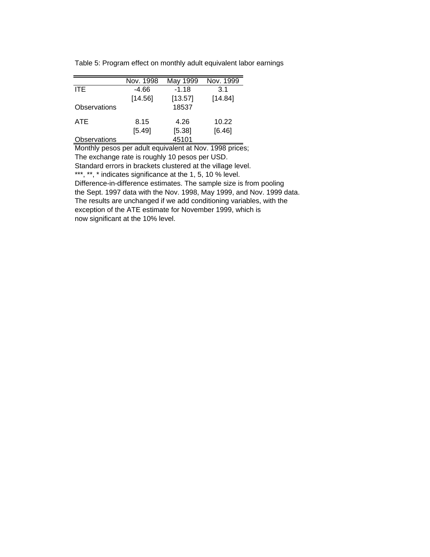|              | Nov. 1998 | May 1999 | Nov. 1999 |
|--------------|-----------|----------|-----------|
| <b>ITE</b>   | $-4.66$   | $-1.18$  | 3.1       |
|              | [14.56]   | [13.57]  | [14.84]   |
| Observations |           | 18537    |           |
| ATE.         | 8.15      | 4.26     | 10.22     |
|              | [5.49]    | [5.38]   | [6.46]    |
| Observations |           | 45101    |           |

Table 5: Program effect on monthly adult equivalent labor earnings

Monthly pesos per adult equivalent at Nov. 1998 prices; The exchange rate is roughly 10 pesos per USD. Standard errors in brackets clustered at the village level. \*\*\*, \*\*, \* indicates significance at the 1, 5, 10 % level. Difference-in-difference estimates. The sample size is from pooling the Sept. 1997 data with the Nov. 1998, May 1999, and Nov. 1999 data. The results are unchanged if we add conditioning variables, with the exception of the ATE estimate for November 1999, which is now significant at the 10% level.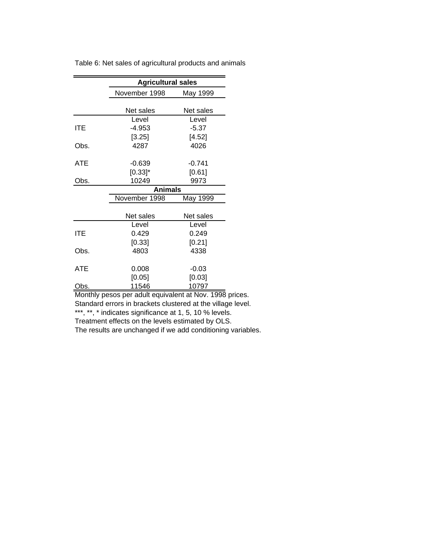|            | <b>Agricultural sales</b> |           |  |  |  |
|------------|---------------------------|-----------|--|--|--|
|            | November 1998             | May 1999  |  |  |  |
|            |                           |           |  |  |  |
|            | Net sales                 | Net sales |  |  |  |
|            | Level                     | Level     |  |  |  |
| ITE        | $-4.953$                  | $-5.37$   |  |  |  |
|            | [3.25]                    | [4.52]    |  |  |  |
| Obs.       | 4287                      | 4026      |  |  |  |
|            |                           |           |  |  |  |
| ATE        | $-0.639$                  | $-0.741$  |  |  |  |
|            | $[0.33]$ *                | [0.61]    |  |  |  |
| Obs.       | 10249                     | 9973      |  |  |  |
|            | <b>Animals</b>            |           |  |  |  |
|            | November 1998             | May 1999  |  |  |  |
|            |                           |           |  |  |  |
|            | Net sales                 | Net sales |  |  |  |
|            | Level                     | Level     |  |  |  |
| <b>ITE</b> | 0.429                     | 0.249     |  |  |  |
|            | [0.33]                    | [0.21]    |  |  |  |
| Obs.       | 4803                      | 4338      |  |  |  |
| <b>ATE</b> | 0.008                     | $-0.03$   |  |  |  |
|            | [0.05]                    | [0.03]    |  |  |  |
| Obs.       | 11546                     | 10797     |  |  |  |

Table 6: Net sales of agricultural products and animals

Monthly pesos per adult equivalent at Nov. 1998 prices. Standard errors in brackets clustered at the village level. \*\*\*, \*\*, \* indicates significance at 1, 5, 10 % levels. Treatment effects on the levels estimated by OLS.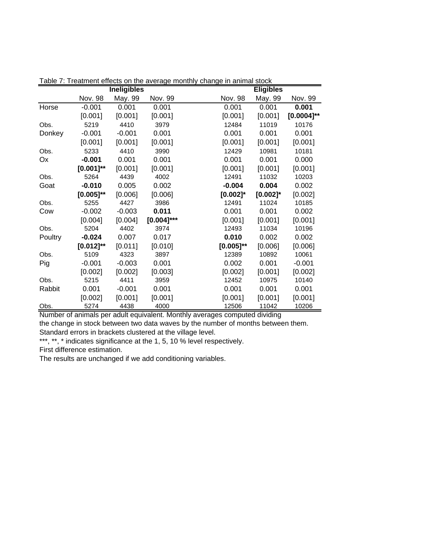|         |                | <b>Ineligibles</b> |               |                | <b>Eligibles</b> |                 |
|---------|----------------|--------------------|---------------|----------------|------------------|-----------------|
|         | Nov. 98        | May. 99            | Nov. 99       | Nov. 98        | May. 99          | Nov. 99         |
| Horse   | $-0.001$       | 0.001              | 0.001         | 0.001          | 0.001            | 0.001           |
|         | [0.001]        | [0.001]            | [0.001]       | [0.001]        | [0.001]          | $[0.0004]^{**}$ |
| Obs.    | 5219           | 4410               | 3979          | 12484          | 11019            | 10176           |
| Donkey  | $-0.001$       | $-0.001$           | 0.001         | 0.001          | 0.001            | 0.001           |
|         | [0.001]        | [0.001]            | [0.001]       | [0.001]        | [0.001]          | [0.001]         |
| Obs.    | 5233           | 4410               | 3990          | 12429          | 10981            | 10181           |
| Оx      | $-0.001$       | 0.001              | 0.001         | 0.001          | 0.001            | 0.000           |
|         | $[0.001]^{**}$ | [0.001]            | [0.001]       | [0.001]        | [0.001]          | [0.001]         |
| Obs.    | 5264           | 4439               | 4002          | 12491          | 11032            | 10203           |
| Goat    | $-0.010$       | 0.005              | 0.002         | $-0.004$       | 0.004            | 0.002           |
|         | $[0.005]^{**}$ | [0.006]            | [0.006]       | $[0.002]$ *    | $[0.002]$ *      | [0.002]         |
| Obs.    | 5255           | 4427               | 3986          | 12491          | 11024            | 10185           |
| Cow     | $-0.002$       | $-0.003$           | 0.011         | 0.001          | 0.001            | 0.002           |
|         | [0.004]        | [0.004]            | $[0.004]$ *** | [0.001]        | [0.001]          | [0.001]         |
| Obs.    | 5204           | 4402               | 3974          | 12493          | 11034            | 10196           |
| Poultry | $-0.024$       | 0.007              | 0.017         | 0.010          | 0.002            | 0.002           |
|         | $[0.012]^{**}$ | [0.011]            | [0.010]       | $[0.005]^{**}$ | [0.006]          | [0.006]         |
| Obs.    | 5109           | 4323               | 3897          | 12389          | 10892            | 10061           |
| Pig     | $-0.001$       | $-0.003$           | 0.001         | 0.002          | 0.001            | $-0.001$        |
|         | [0.002]        | [0.002]            | [0.003]       | [0.002]        | [0.001]          | [0.002]         |
| Obs.    | 5215           | 4411               | 3959          | 12452          | 10975            | 10140           |
| Rabbit  | 0.001          | $-0.001$           | 0.001         | 0.001          | 0.001            | 0.001           |
|         | [0.002]        | [0.001]            | [0.001]       | [0.001]        | [0.001]          | [0.001]         |
| Obs.    | 5274           | 4438               | 4000          | 12506          | 11042            | 10206           |

Table 7: Treatment effects on the average monthly change in animal stock

Number of animals per adult equivalent. Monthly averages computed dividing

the change in stock between two data waves by the number of months between them. Standard errors in brackets clustered at the village level.

\*\*\*, \*\*, \* indicates significance at the 1, 5, 10 % level respectively.

First difference estimation.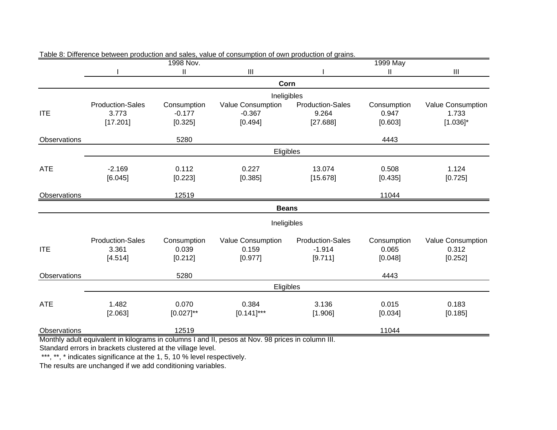|                     |                                              | 1998 Nov.                          |                                                                                                |                                                | 1999 May                        |                                           |
|---------------------|----------------------------------------------|------------------------------------|------------------------------------------------------------------------------------------------|------------------------------------------------|---------------------------------|-------------------------------------------|
|                     |                                              | $\mathbf{II}$                      | III                                                                                            |                                                | $\mathbf{II}$                   | III                                       |
|                     |                                              |                                    | Corn                                                                                           |                                                |                                 |                                           |
|                     |                                              |                                    | Ineligibles                                                                                    |                                                |                                 |                                           |
| <b>ITE</b>          | <b>Production-Sales</b><br>3.773<br>[17.201] | Consumption<br>$-0.177$<br>[0.325] | Value Consumption<br>$-0.367$<br>[0.494]                                                       | <b>Production-Sales</b><br>9.264<br>[27.688]   | Consumption<br>0.947<br>[0.603] | Value Consumption<br>1.733<br>$[1.036]$ * |
| Observations        |                                              | 5280                               |                                                                                                |                                                | 4443                            |                                           |
|                     |                                              |                                    | Eligibles                                                                                      |                                                |                                 |                                           |
| <b>ATE</b>          | $-2.169$<br>[6.045]                          | 0.112<br>[0.223]                   | 0.227<br>[0.385]                                                                               | 13.074<br>[15.678]                             | 0.508<br>[0.435]                | 1.124<br>[0.725]                          |
| Observations        |                                              | 12519                              |                                                                                                |                                                | 11044                           |                                           |
|                     |                                              |                                    | <b>Beans</b>                                                                                   |                                                |                                 |                                           |
|                     |                                              |                                    | Ineligibles                                                                                    |                                                |                                 |                                           |
| <b>ITE</b>          | <b>Production-Sales</b><br>3.361<br>[4.514]  | Consumption<br>0.039<br>[0.212]    | Value Consumption<br>0.159<br>[0.977]                                                          | <b>Production-Sales</b><br>$-1.914$<br>[9.711] | Consumption<br>0.065<br>[0.048] | Value Consumption<br>0.312<br>[0.252]     |
| <b>Observations</b> |                                              | 5280                               |                                                                                                |                                                | 4443                            |                                           |
|                     |                                              |                                    | Eligibles                                                                                      |                                                |                                 |                                           |
| <b>ATE</b>          | 1.482<br>[2.063]                             | 0.070<br>$[0.027]^{**}$            | 0.384<br>$[0.141]$ ***                                                                         | 3.136<br>[1.906]                               | 0.015<br>[0.034]                | 0.183<br>[0.185]                          |
| Observations        |                                              | 12519                              | Monthly odult caujualent in kilograme in columna Lond II, neece at New 08 priose in column III |                                                | 11044                           |                                           |

#### Table 8: Difference between production and sales, value of consumption of own production of grains.

Monthly adult equivalent in kilograms in columns I and II, pesos at Nov. 98 prices in column III.

Standard errors in brackets clustered at the village level.

\*\*\*, \*\*, \* indicates significance at the 1, 5, 10 % level respectively.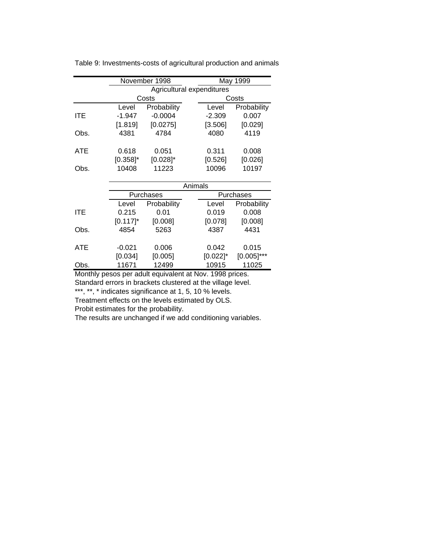|            |             | November 1998 |                           | May 1999      |  |  |
|------------|-------------|---------------|---------------------------|---------------|--|--|
|            |             |               | Agricultural expenditures |               |  |  |
|            |             | Costs         | Costs                     |               |  |  |
|            | Level       | Probability   | Level                     | Probability   |  |  |
| <b>ITE</b> | $-1.947$    | $-0.0004$     | $-2.309$                  | 0.007         |  |  |
|            | [1.819]     | [0.0275]      | [3.506]                   | [0.029]       |  |  |
| Obs.       | 4381        | 4784          | 4080                      | 4119          |  |  |
| <b>ATE</b> | 0.618       | 0.051         | 0.311                     | 0.008         |  |  |
|            | $[0.358]$ * | $[0.028]$ *   | [0.526]                   | [0.026]       |  |  |
| Obs.       | 10408       | 11223         | 10096                     | 10197         |  |  |
|            |             |               |                           |               |  |  |
|            |             |               | Animals                   |               |  |  |
|            |             | Purchases     | Purchases                 |               |  |  |
|            | Level       | Probability   | Level                     | Probability   |  |  |
| <b>ITE</b> | 0.215       | 0.01          | 0.019                     | 0.008         |  |  |
|            | $[0.117]$ * | [0.008]       | [0.078]                   | [0.008]       |  |  |
| Obs.       | 4854        | 5263          | 4387                      | 4431          |  |  |
| <b>ATE</b> | $-0.021$    | 0.006         | 0.042                     | 0.015         |  |  |
|            | [0.034]     | [0.005]       | $[0.022]$ *               | $[0.005]$ *** |  |  |
| Obs.       | 11671       | 12499         | 10915                     | 11025         |  |  |

Table 9: Investments-costs of agricultural production and animals

Monthly pesos per adult equivalent at Nov. 1998 prices. Standard errors in brackets clustered at the village level.

\*\*\*, \*\*, \* indicates significance at 1, 5, 10 % levels.

Treatment effects on the levels estimated by OLS.

Probit estimates for the probability.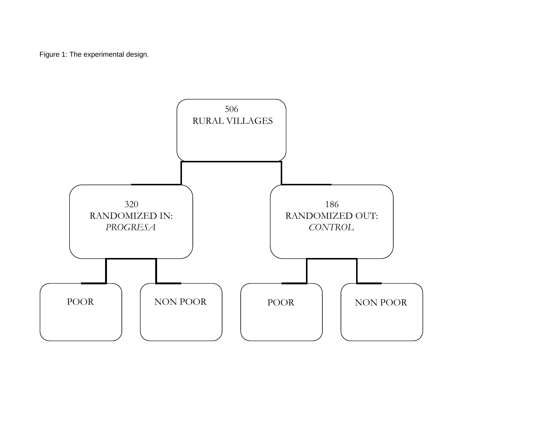Figure 1: The experimental design.